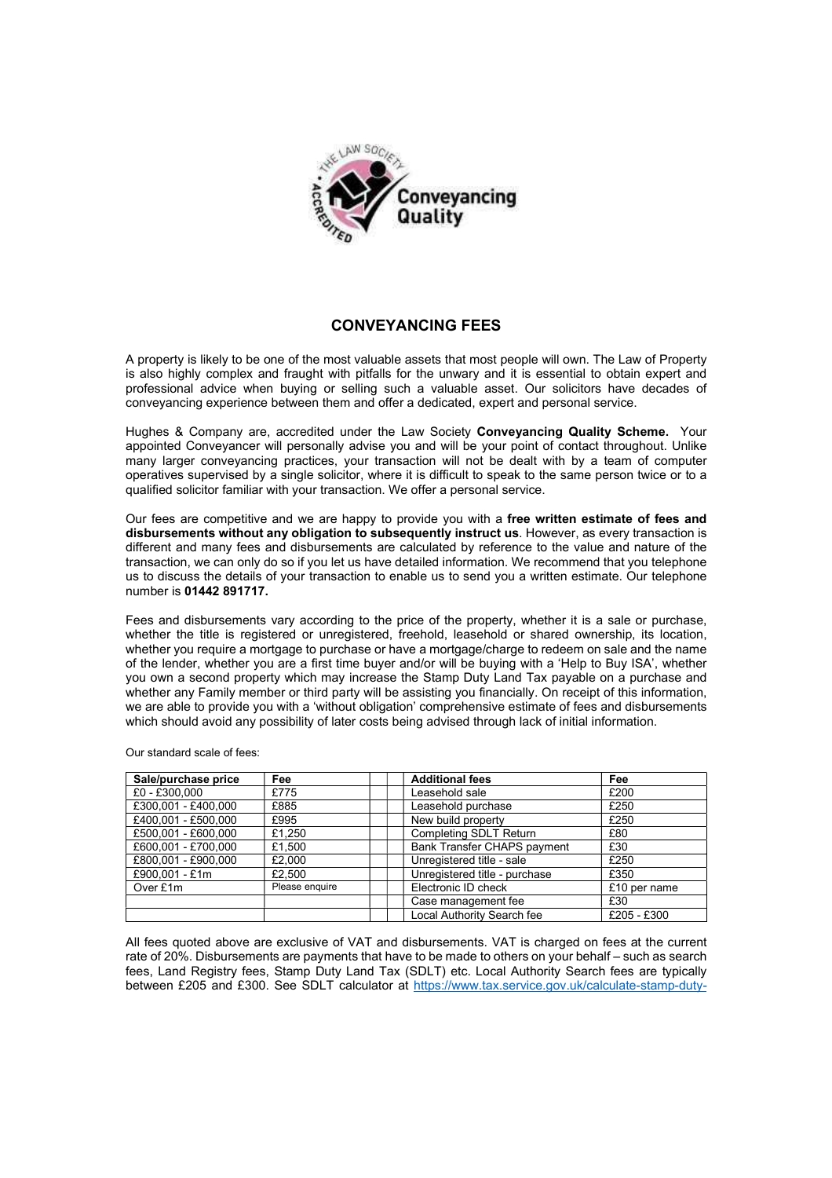

## **CONVEYANCING FEES**

A property is likely to be one of the most valuable assets that most people will own. The Law of Property is also highly complex and fraught with pitfalls for the unwary and it is essential to obtain expert and professional advice when buying or selling such a valuable asset. Our solicitors have decades of conveyancing experience between them and offer a dedicated, expert and personal service.

Hughes & Company are, accredited under the Law Society **Conveyancing Quality Scheme.** Your appointed Conveyancer will personally advise you and will be your point of contact throughout. Unlike many larger conveyancing practices, your transaction will not be dealt with by a team of computer operatives supervised by a single solicitor, where it is difficult to speak to the same person twice or to a qualified solicitor familiar with your transaction. We offer a personal service.

Our fees are competitive and we are happy to provide you with a **free written estimate of fees and disbursements without any obligation to subsequently instruct us**. However, as every transaction is different and many fees and disbursements are calculated by reference to the value and nature of the transaction, we can only do so if you let us have detailed information. We recommend that you telephone us to discuss the details of your transaction to enable us to send you a written estimate. Our telephone number is **01442 891717.** 

Fees and disbursements vary according to the price of the property, whether it is a sale or purchase, whether the title is registered or unregistered, freehold, leasehold or shared ownership, its location, whether you require a mortgage to purchase or have a mortgage/charge to redeem on sale and the name of the lender, whether you are a first time buyer and/or will be buying with a 'Help to Buy ISA', whether you own a second property which may increase the Stamp Duty Land Tax payable on a purchase and whether any Family member or third party will be assisting you financially. On receipt of this information, we are able to provide you with a 'without obligation' comprehensive estimate of fees and disbursements which should avoid any possibility of later costs being advised through lack of initial information.

**Sale/purchase price Fee Additional fees Fee**  $\begin{array}{|l|c|c|c|c|}\n \hline \text{£0 - £300,000} & \text{£775} & \text{Leasehold sale} & \text{£200} \\
 \hline \text{£300.001 - £400.000} & \text{£885} & \text{Leasehold purchase} & \text{£250}\n \hline \end{array}$ Example 1 and the set of the set of the set of the set of the set of the set of the set of the set of the set o<br>
E250  $\frac{250}{250}$  $\begin{array}{|l|c|c|c|}\n \hline \text{\textsterling}400,001 - \text{\textsterling}500,000 & \text{\textsterling}995 \\
 \hline \text{\textsterling}500.001 - \text{\textsterling}600.000 & \text{\textsterling}1.250 & \text{\textsterling}000 \\
 \hline \end{array}$  New build property  $\begin{array}{|l|c|c|c|}\n \hline \text{\textsterling}80 & \text{\textsterling}1 & \text{\textsterling}80 \\
 \hline \text{\textsterling}80 & \text{\textsterling}1 & \text{\$ Completing SDLT Return  $£600,001 - £700,000$   $£1,500$   $\Box$  Bank Transfer CHAPS payment  $\Box$ £800,001 - £900,000 £2,000 Unregistered title - sale £250  $£900,001 - £1m$   $£2,500$  Unregistered title - purchase  $£350$ Over £1m Please enquire Electronic ID check <br>
E10 per name<br>
Case management fee £30 Case management fee <br>
Local Authority Search fee E205 - £300 Local Authority Search fee

Our standard scale of fees:

All fees quoted above are exclusive of VAT and disbursements. VAT is charged on fees at the current rate of 20%. Disbursements are payments that have to be made to others on your behalf – such as search fees, Land Registry fees, Stamp Duty Land Tax (SDLT) etc. Local Authority Search fees are typically between £205 and £300. See SDLT calculator at https://www.tax.service.gov.uk/calculate-stamp-duty